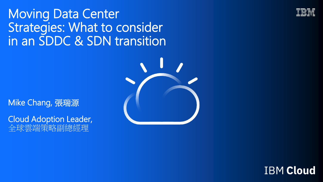## Moving Data Center Strategies: What to consider in an SDDC & SDN transition



Mike Chang, 張瑞源

Cloud Adoption Leader, 全球雲端策略副總經理



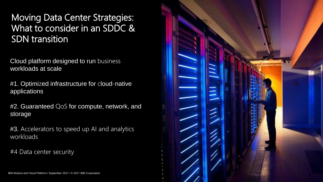### Moving Data Center Strategies: What to consider in an SDDC & SDN transition

Cloud platform designed to run business workloads at scale

#1. Optimi zed infrastructure for cloud -native applications

#2. Guaranteed QoS for compute, network, and storage

#3. Accelerators to speed up AI and analytics workloads

#4 Data center security

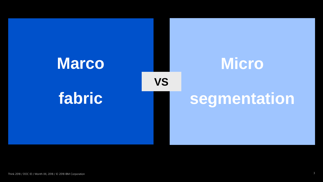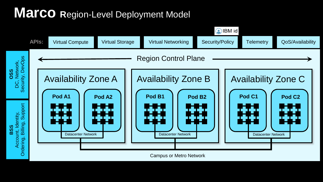# **Marco Region-Level Deployment Model**



Campus or Metro Network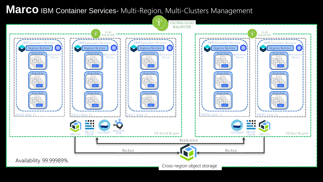### **Marco** IBM Container Services- Multi-Region, Multi-Clusters Management

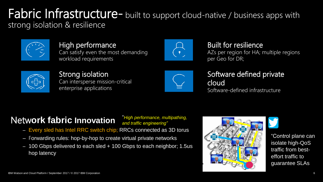### Fabric Infrastructure- built to support cloud-native / business apps with strong isolation & resilience



High performance Can satisfy even the most demanding workload requirements



### Built for resilience

AZs per region for HA; multiple regions per Geo for DR;



Strong isolation Can intersperse mission-critical enterprise applications



#### Software defined private cloud Software-defined infrastructure

### Netw**ork fabric Innovation**

"*High performance, multipathing, and traffic engineering"*

- Every sled has Intel RRC switch chip; RRCs connected as 3D torus
- Forwarding rules: hop-by-hop to create virtual private networks
- 100 Gbps delivered to each sled + 100 Gbps to each neighbor; 1.5us hop latency





"Control plane can isolate high-QoS traffic from besteffort traffic to guarantee SLAs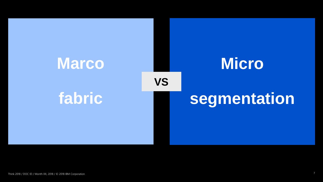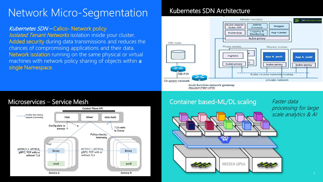## Network Micro-Segmentation

#### Kubernetes SDN – Calico- Network policy

**Isolated Tenant Networks** isolation inside your cluster. Added security during data transmissions and reduces the chances of compromising applications and their data. Network isolation running on the same physical or virtual machines with network policy sharing of objects within a single Namespace.

#### Kubernetes SDN Architecture



Router+FW+VPN





NVIDIA GPUs

Faster data processing for large scale analytics & AI